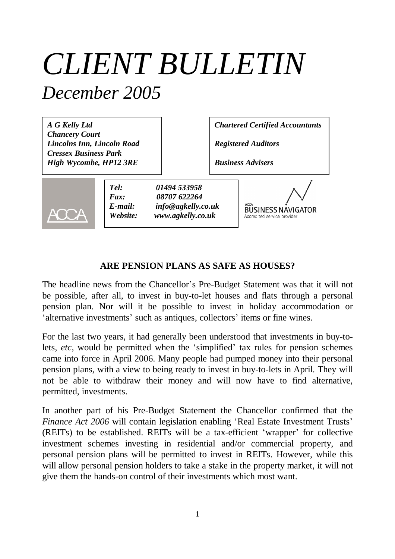# *CLIENT BULLETIN December 2005*

*A G Kelly Ltd Chancery Court Lincolns Inn, Lincoln Road Cressex Business Park High Wycombe, HP12 3RE*

*Chartered Certified Accountants*

*Registered Auditors*

*Business Advisers*



*Tel: 01494 533958 Fax: 08707 622264 E-mail: info@agkelly.co.uk Website: www.agkelly.co.uk*

**BUSINESS NAVIGATOR** Accredited service provider

#### **ARE PENSION PLANS AS SAFE AS HOUSES?**

The headline news from the Chancellor's Pre-Budget Statement was that it will not be possible, after all, to invest in buy-to-let houses and flats through a personal pension plan. Nor will it be possible to invest in holiday accommodation or 'alternative investments' such as antiques, collectors' items or fine wines.

For the last two years, it had generally been understood that investments in buy-tolets, *etc*, would be permitted when the 'simplified' tax rules for pension schemes came into force in April 2006. Many people had pumped money into their personal pension plans, with a view to being ready to invest in buy-to-lets in April. They will not be able to withdraw their money and will now have to find alternative, permitted, investments.

In another part of his Pre-Budget Statement the Chancellor confirmed that the *Finance Act 2006* will contain legislation enabling 'Real Estate Investment Trusts' (REITs) to be established. REITs will be a tax-efficient 'wrapper' for collective investment schemes investing in residential and/or commercial property, and personal pension plans will be permitted to invest in REITs. However, while this will allow personal pension holders to take a stake in the property market, it will not give them the hands-on control of their investments which most want.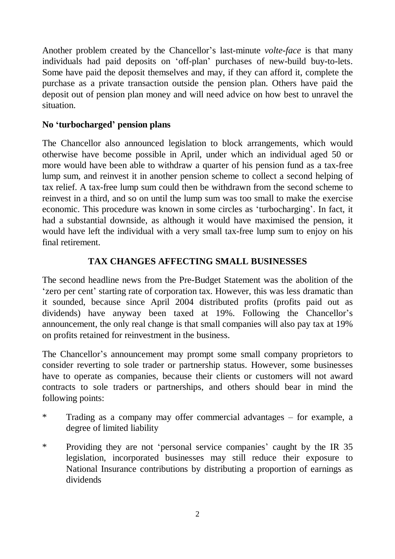Another problem created by the Chancellor's last-minute *volte-face* is that many individuals had paid deposits on 'off-plan' purchases of new-build buy-to-lets. Some have paid the deposit themselves and may, if they can afford it, complete the purchase as a private transaction outside the pension plan. Others have paid the deposit out of pension plan money and will need advice on how best to unravel the situation.

#### **No 'turbocharged' pension plans**

The Chancellor also announced legislation to block arrangements, which would otherwise have become possible in April, under which an individual aged 50 or more would have been able to withdraw a quarter of his pension fund as a tax-free lump sum, and reinvest it in another pension scheme to collect a second helping of tax relief. A tax-free lump sum could then be withdrawn from the second scheme to reinvest in a third, and so on until the lump sum was too small to make the exercise economic. This procedure was known in some circles as 'turbocharging'. In fact, it had a substantial downside, as although it would have maximised the pension, it would have left the individual with a very small tax-free lump sum to enjoy on his final retirement.

## **TAX CHANGES AFFECTING SMALL BUSINESSES**

The second headline news from the Pre-Budget Statement was the abolition of the 'zero per cent' starting rate of corporation tax. However, this was less dramatic than it sounded, because since April 2004 distributed profits (profits paid out as dividends) have anyway been taxed at 19%. Following the Chancellor's announcement, the only real change is that small companies will also pay tax at 19% on profits retained for reinvestment in the business.

The Chancellor's announcement may prompt some small company proprietors to consider reverting to sole trader or partnership status. However, some businesses have to operate as companies, because their clients or customers will not award contracts to sole traders or partnerships, and others should bear in mind the following points:

- \* Trading as a company may offer commercial advantages for example, a degree of limited liability
- \* Providing they are not 'personal service companies' caught by the IR 35 legislation, incorporated businesses may still reduce their exposure to National Insurance contributions by distributing a proportion of earnings as dividends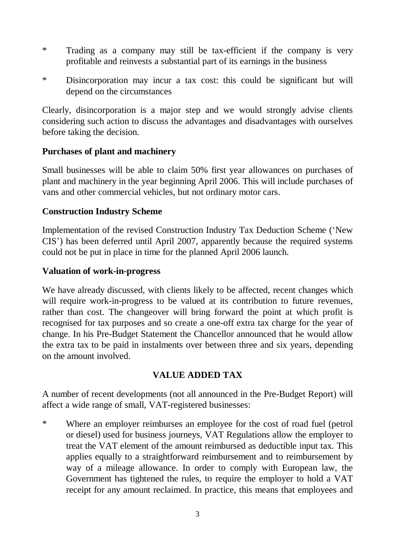- \* Trading as a company may still be tax-efficient if the company is very profitable and reinvests a substantial part of its earnings in the business
- \* Disincorporation may incur a tax cost: this could be significant but will depend on the circumstances

Clearly, disincorporation is a major step and we would strongly advise clients considering such action to discuss the advantages and disadvantages with ourselves before taking the decision.

## **Purchases of plant and machinery**

Small businesses will be able to claim 50% first year allowances on purchases of plant and machinery in the year beginning April 2006. This will include purchases of vans and other commercial vehicles, but not ordinary motor cars.

## **Construction Industry Scheme**

Implementation of the revised Construction Industry Tax Deduction Scheme ('New CIS') has been deferred until April 2007, apparently because the required systems could not be put in place in time for the planned April 2006 launch.

## **Valuation of work-in-progress**

We have already discussed, with clients likely to be affected, recent changes which will require work-in-progress to be valued at its contribution to future revenues, rather than cost. The changeover will bring forward the point at which profit is recognised for tax purposes and so create a one-off extra tax charge for the year of change. In his Pre-Budget Statement the Chancellor announced that he would allow the extra tax to be paid in instalments over between three and six years, depending on the amount involved.

# **VALUE ADDED TAX**

A number of recent developments (not all announced in the Pre-Budget Report) will affect a wide range of small, VAT-registered businesses:

\* Where an employer reimburses an employee for the cost of road fuel (petrol or diesel) used for business journeys, VAT Regulations allow the employer to treat the VAT element of the amount reimbursed as deductible input tax. This applies equally to a straightforward reimbursement and to reimbursement by way of a mileage allowance. In order to comply with European law, the Government has tightened the rules, to require the employer to hold a VAT receipt for any amount reclaimed. In practice, this means that employees and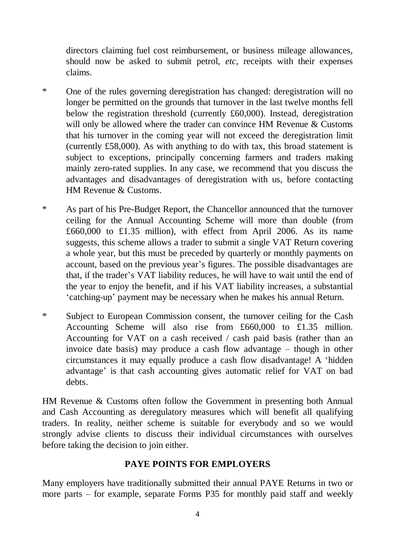directors claiming fuel cost reimbursement, or business mileage allowances, should now be asked to submit petrol, *etc*, receipts with their expenses claims.

- \* One of the rules governing deregistration has changed: deregistration will no longer be permitted on the grounds that turnover in the last twelve months fell below the registration threshold (currently £60,000). Instead, deregistration will only be allowed where the trader can convince HM Revenue & Customs that his turnover in the coming year will not exceed the deregistration limit (currently £58,000). As with anything to do with tax, this broad statement is subject to exceptions, principally concerning farmers and traders making mainly zero-rated supplies. In any case, we recommend that you discuss the advantages and disadvantages of deregistration with us, before contacting HM Revenue & Customs.
- \* As part of his Pre-Budget Report, the Chancellor announced that the turnover ceiling for the Annual Accounting Scheme will more than double (from £660,000 to £1.35 million), with effect from April 2006. As its name suggests, this scheme allows a trader to submit a single VAT Return covering a whole year, but this must be preceded by quarterly or monthly payments on account, based on the previous year's figures. The possible disadvantages are that, if the trader's VAT liability reduces, he will have to wait until the end of the year to enjoy the benefit, and if his VAT liability increases, a substantial 'catching-up' payment may be necessary when he makes his annual Return.
- \* Subject to European Commission consent, the turnover ceiling for the Cash Accounting Scheme will also rise from £660,000 to £1.35 million. Accounting for VAT on a cash received / cash paid basis (rather than an invoice date basis) may produce a cash flow advantage – though in other circumstances it may equally produce a cash flow disadvantage! A 'hidden advantage' is that cash accounting gives automatic relief for VAT on bad debts.

HM Revenue & Customs often follow the Government in presenting both Annual and Cash Accounting as deregulatory measures which will benefit all qualifying traders. In reality, neither scheme is suitable for everybody and so we would strongly advise clients to discuss their individual circumstances with ourselves before taking the decision to join either.

#### **PAYE POINTS FOR EMPLOYERS**

Many employers have traditionally submitted their annual PAYE Returns in two or more parts – for example, separate Forms P35 for monthly paid staff and weekly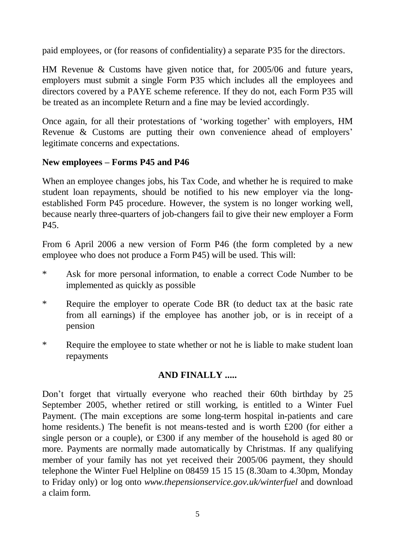paid employees, or (for reasons of confidentiality) a separate P35 for the directors.

HM Revenue & Customs have given notice that, for 2005/06 and future years, employers must submit a single Form P35 which includes all the employees and directors covered by a PAYE scheme reference. If they do not, each Form P35 will be treated as an incomplete Return and a fine may be levied accordingly.

Once again, for all their protestations of 'working together' with employers, HM Revenue & Customs are putting their own convenience ahead of employers' legitimate concerns and expectations.

# **New employees – Forms P45 and P46**

When an employee changes jobs, his Tax Code, and whether he is required to make student loan repayments, should be notified to his new employer via the longestablished Form P45 procedure. However, the system is no longer working well, because nearly three-quarters of job-changers fail to give their new employer a Form P45.

From 6 April 2006 a new version of Form P46 (the form completed by a new employee who does not produce a Form P45) will be used. This will:

- \* Ask for more personal information, to enable a correct Code Number to be implemented as quickly as possible
- \* Require the employer to operate Code BR (to deduct tax at the basic rate from all earnings) if the employee has another job, or is in receipt of a pension
- \* Require the employee to state whether or not he is liable to make student loan repayments

# **AND FINALLY .....**

Don't forget that virtually everyone who reached their 60th birthday by 25 September 2005, whether retired or still working, is entitled to a Winter Fuel Payment. (The main exceptions are some long-term hospital in-patients and care home residents.) The benefit is not means-tested and is worth £200 (for either a single person or a couple), or £300 if any member of the household is aged 80 or more. Payments are normally made automatically by Christmas. If any qualifying member of your family has not yet received their 2005/06 payment, they should telephone the Winter Fuel Helpline on 08459 15 15 15 (8.30am to 4.30pm, Monday to Friday only) or log onto *www.thepensionservice.gov.uk/winterfuel* and download a claim form.